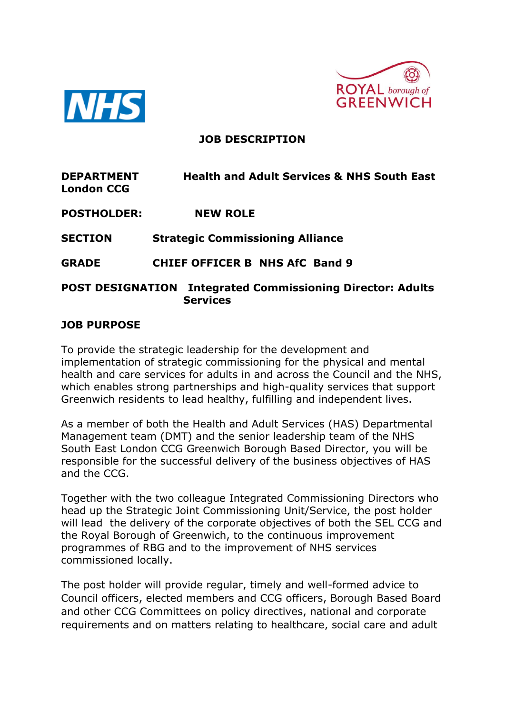



### **JOB DESCRIPTION**

| <b>DEPARTMENT</b><br><b>London CCG</b> | <b>Health and Adult Services &amp; NHS South East</b>             |
|----------------------------------------|-------------------------------------------------------------------|
| <b>POSTHOLDER:</b>                     | <b>NEW ROLE</b>                                                   |
| <b>SECTION</b>                         | <b>Strategic Commissioning Alliance</b>                           |
| <b>GRADE</b>                           | <b>CHIEF OFFICER B NHS AfC Band 9</b>                             |
|                                        | <b>POST DESIGNATION Integrated Commissioning Director: Adults</b> |

**Services** 

## **JOB PURPOSE**

To provide the strategic leadership for the development and implementation of strategic commissioning for the physical and mental health and care services for adults in and across the Council and the NHS, which enables strong partnerships and high-quality services that support Greenwich residents to lead healthy, fulfilling and independent lives.

As a member of both the Health and Adult Services (HAS) Departmental Management team (DMT) and the senior leadership team of the NHS South East London CCG Greenwich Borough Based Director, you will be responsible for the successful delivery of the business objectives of HAS and the CCG.

Together with the two colleague Integrated Commissioning Directors who head up the Strategic Joint Commissioning Unit/Service, the post holder will lead the delivery of the corporate objectives of both the SEL CCG and the Royal Borough of Greenwich, to the continuous improvement programmes of RBG and to the improvement of NHS services commissioned locally.

The post holder will provide regular, timely and well-formed advice to Council officers, elected members and CCG officers, Borough Based Board and other CCG Committees on policy directives, national and corporate requirements and on matters relating to healthcare, social care and adult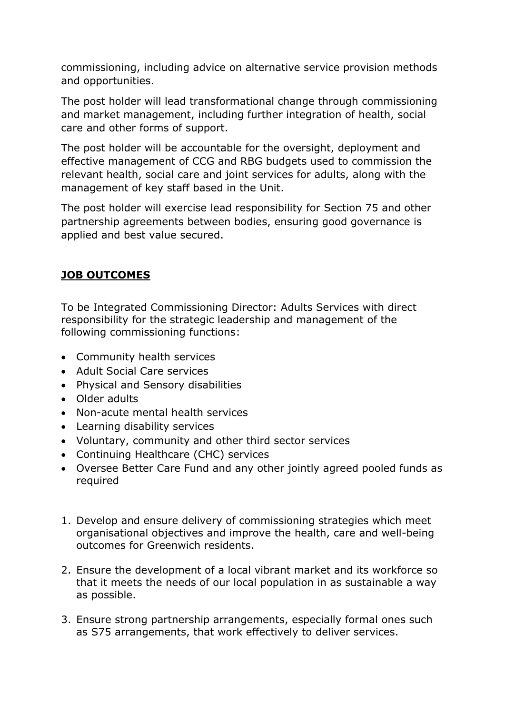commissioning, including advice on alternative service provision methods and opportunities.

The post holder will lead transformational change through commissioning and market management, including further integration of health, social care and other forms of support.

The post holder will be accountable for the oversight, deployment and effective management of CCG and RBG budgets used to commission the relevant health, social care and joint services for adults, along with the management of key staff based in the Unit.

The post holder will exercise lead responsibility for Section 75 and other partnership agreements between bodies, ensuring good governance is applied and best value secured.

# **JOB OUTCOMES**

To be Integrated Commissioning Director: Adults Services with direct responsibility for the strategic leadership and management of the following commissioning functions:

- Community health services
- Adult Social Care services
- Physical and Sensory disabilities
- Older adults
- Non-acute mental health services
- Learning disability services
- Voluntary, community and other third sector services
- Continuing Healthcare (CHC) services
- Oversee Better Care Fund and any other jointly agreed pooled funds as required
- 1. Develop and ensure delivery of commissioning strategies which meet organisational objectives and improve the health, care and well-being outcomes for Greenwich residents.
- 2. Ensure the development of a local vibrant market and its workforce so that it meets the needs of our local population in as sustainable a way as possible.
- 3. Ensure strong partnership arrangements, especially formal ones such as S75 arrangements, that work effectively to deliver services.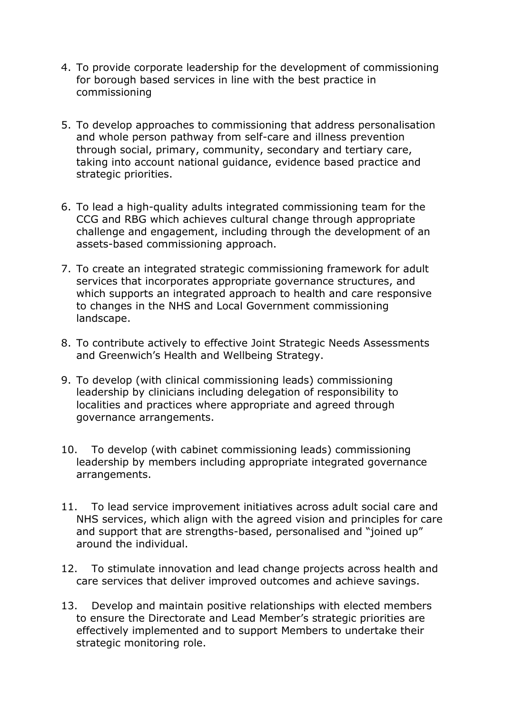- 4. To provide corporate leadership for the development of commissioning for borough based services in line with the best practice in commissioning
- 5. To develop approaches to commissioning that address personalisation and whole person pathway from self-care and illness prevention through social, primary, community, secondary and tertiary care, taking into account national guidance, evidence based practice and strategic priorities.
- 6. To lead a high-quality adults integrated commissioning team for the CCG and RBG which achieves cultural change through appropriate challenge and engagement, including through the development of an assets-based commissioning approach.
- 7. To create an integrated strategic commissioning framework for adult services that incorporates appropriate governance structures, and which supports an integrated approach to health and care responsive to changes in the NHS and Local Government commissioning landscape.
- 8. To contribute actively to effective Joint Strategic Needs Assessments and Greenwich's Health and Wellbeing Strategy.
- 9. To develop (with clinical commissioning leads) commissioning leadership by clinicians including delegation of responsibility to localities and practices where appropriate and agreed through governance arrangements.
- 10. To develop (with cabinet commissioning leads) commissioning leadership by members including appropriate integrated governance arrangements.
- 11. To lead service improvement initiatives across adult social care and NHS services, which align with the agreed vision and principles for care and support that are strengths-based, personalised and "joined up" around the individual.
- 12. To stimulate innovation and lead change projects across health and care services that deliver improved outcomes and achieve savings.
- 13. Develop and maintain positive relationships with elected members to ensure the Directorate and Lead Member's strategic priorities are effectively implemented and to support Members to undertake their strategic monitoring role.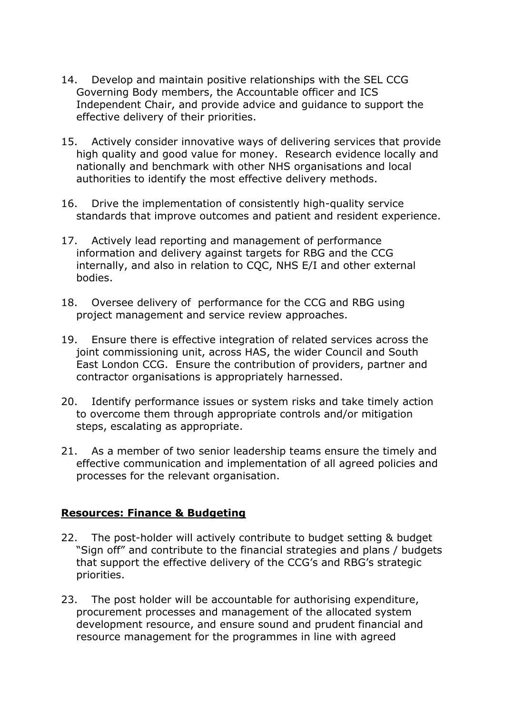- 14. Develop and maintain positive relationships with the SEL CCG Governing Body members, the Accountable officer and ICS Independent Chair, and provide advice and guidance to support the effective delivery of their priorities.
- 15. Actively consider innovative ways of delivering services that provide high quality and good value for money. Research evidence locally and nationally and benchmark with other NHS organisations and local authorities to identify the most effective delivery methods.
- 16. Drive the implementation of consistently high-quality service standards that improve outcomes and patient and resident experience.
- 17. Actively lead reporting and management of performance information and delivery against targets for RBG and the CCG internally, and also in relation to CQC, NHS E/I and other external bodies.
- 18. Oversee delivery of performance for the CCG and RBG using project management and service review approaches.
- 19. Ensure there is effective integration of related services across the joint commissioning unit, across HAS, the wider Council and South East London CCG. Ensure the contribution of providers, partner and contractor organisations is appropriately harnessed.
- 20. Identify performance issues or system risks and take timely action to overcome them through appropriate controls and/or mitigation steps, escalating as appropriate.
- 21. As a member of two senior leadership teams ensure the timely and effective communication and implementation of all agreed policies and processes for the relevant organisation.

#### **Resources: Finance & Budgeting**

- 22. The post-holder will actively contribute to budget setting & budget "Sign off" and contribute to the financial strategies and plans / budgets that support the effective delivery of the CCG's and RBG's strategic priorities.
- 23. The post holder will be accountable for authorising expenditure, procurement processes and management of the allocated system development resource, and ensure sound and prudent financial and resource management for the programmes in line with agreed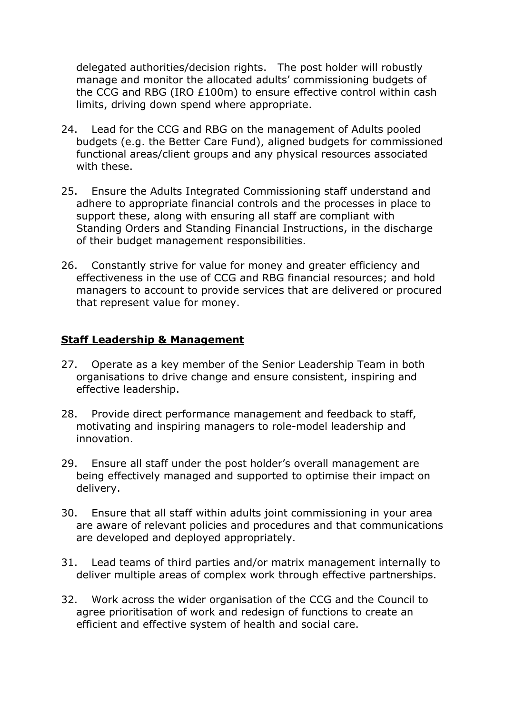delegated authorities/decision rights. The post holder will robustly manage and monitor the allocated adults' commissioning budgets of the CCG and RBG (IRO £100m) to ensure effective control within cash limits, driving down spend where appropriate.

- 24. Lead for the CCG and RBG on the management of Adults pooled budgets (e.g. the Better Care Fund), aligned budgets for commissioned functional areas/client groups and any physical resources associated with these.
- 25. Ensure the Adults Integrated Commissioning staff understand and adhere to appropriate financial controls and the processes in place to support these, along with ensuring all staff are compliant with Standing Orders and Standing Financial Instructions, in the discharge of their budget management responsibilities.
- 26. Constantly strive for value for money and greater efficiency and effectiveness in the use of CCG and RBG financial resources; and hold managers to account to provide services that are delivered or procured that represent value for money.

#### **Staff Leadership & Management**

- 27. Operate as a key member of the Senior Leadership Team in both organisations to drive change and ensure consistent, inspiring and effective leadership.
- 28. Provide direct performance management and feedback to staff, motivating and inspiring managers to role-model leadership and innovation.
- 29. Ensure all staff under the post holder's overall management are being effectively managed and supported to optimise their impact on delivery.
- 30. Ensure that all staff within adults joint commissioning in your area are aware of relevant policies and procedures and that communications are developed and deployed appropriately.
- 31. Lead teams of third parties and/or matrix management internally to deliver multiple areas of complex work through effective partnerships.
- 32. Work across the wider organisation of the CCG and the Council to agree prioritisation of work and redesign of functions to create an efficient and effective system of health and social care.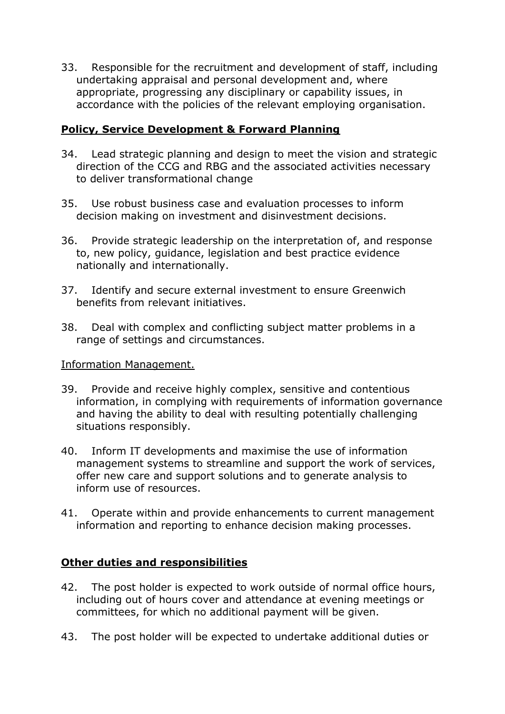33. Responsible for the recruitment and development of staff, including undertaking appraisal and personal development and, where appropriate, progressing any disciplinary or capability issues, in accordance with the policies of the relevant employing organisation.

## **Policy, Service Development & Forward Planning**

- 34. Lead strategic planning and design to meet the vision and strategic direction of the CCG and RBG and the associated activities necessary to deliver transformational change
- 35. Use robust business case and evaluation processes to inform decision making on investment and disinvestment decisions.
- 36. Provide strategic leadership on the interpretation of, and response to, new policy, guidance, legislation and best practice evidence nationally and internationally.
- 37. Identify and secure external investment to ensure Greenwich benefits from relevant initiatives.
- 38. Deal with complex and conflicting subject matter problems in a range of settings and circumstances.

#### Information Management.

- 39. Provide and receive highly complex, sensitive and contentious information, in complying with requirements of information governance and having the ability to deal with resulting potentially challenging situations responsibly.
- 40. Inform IT developments and maximise the use of information management systems to streamline and support the work of services, offer new care and support solutions and to generate analysis to inform use of resources.
- 41. Operate within and provide enhancements to current management information and reporting to enhance decision making processes.

## **Other duties and responsibilities**

- 42. The post holder is expected to work outside of normal office hours, including out of hours cover and attendance at evening meetings or committees, for which no additional payment will be given.
- 43. The post holder will be expected to undertake additional duties or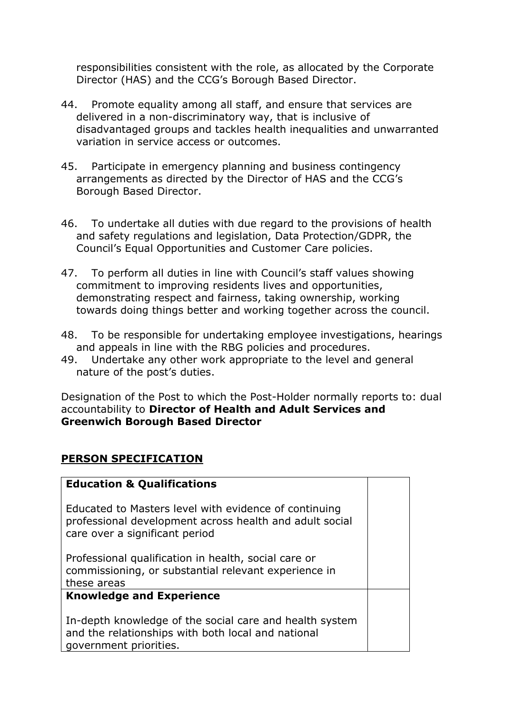responsibilities consistent with the role, as allocated by the Corporate Director (HAS) and the CCG's Borough Based Director.

- 44. Promote equality among all staff, and ensure that services are delivered in a non-discriminatory way, that is inclusive of disadvantaged groups and tackles health inequalities and unwarranted variation in service access or outcomes.
- 45. Participate in emergency planning and business contingency arrangements as directed by the Director of HAS and the CCG's Borough Based Director.
- 46. To undertake all duties with due regard to the provisions of health and safety regulations and legislation, Data Protection/GDPR, the Council's Equal Opportunities and Customer Care policies.
- 47. To perform all duties in line with Council's staff values showing commitment to improving residents lives and opportunities, demonstrating respect and fairness, taking ownership, working towards doing things better and working together across the council.
- 48. To be responsible for undertaking employee investigations, hearings and appeals in line with the RBG policies and procedures.
- 49. Undertake any other work appropriate to the level and general nature of the post's duties.

Designation of the Post to which the Post-Holder normally reports to: dual accountability to **Director of Health and Adult Services and Greenwich Borough Based Director** 

## **PERSON SPECIFICATION**

| <b>Education &amp; Qualifications</b>                                                                                                              |  |
|----------------------------------------------------------------------------------------------------------------------------------------------------|--|
| Educated to Masters level with evidence of continuing<br>professional development across health and adult social<br>care over a significant period |  |
| Professional qualification in health, social care or<br>commissioning, or substantial relevant experience in<br>these areas                        |  |
| <b>Knowledge and Experience</b>                                                                                                                    |  |
| In-depth knowledge of the social care and health system<br>and the relationships with both local and national<br>government priorities.            |  |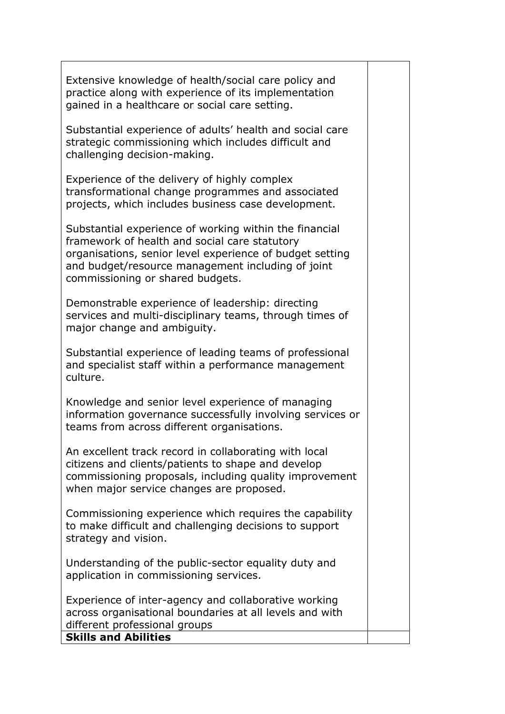Extensive knowledge of health/social care policy and practice along with experience of its implementation gained in a healthcare or social care setting.

Substantial experience of adults' health and social care strategic commissioning which includes difficult and challenging decision-making.

Experience of the delivery of highly complex transformational change programmes and associated projects, which includes business case development.

Substantial experience of working within the financial framework of health and social care statutory organisations, senior level experience of budget setting and budget/resource management including of joint commissioning or shared budgets.

Demonstrable experience of leadership: directing services and multi-disciplinary teams, through times of major change and ambiguity.

Substantial experience of leading teams of professional and specialist staff within a performance management culture.

Knowledge and senior level experience of managing information governance successfully involving services or teams from across different organisations.

An excellent track record in collaborating with local citizens and clients/patients to shape and develop commissioning proposals, including quality improvement when major service changes are proposed.

Commissioning experience which requires the capability to make difficult and challenging decisions to support strategy and vision.

Understanding of the public-sector equality duty and application in commissioning services.

Experience of inter-agency and collaborative working across organisational boundaries at all levels and with different professional groups

**Skills and Abilities**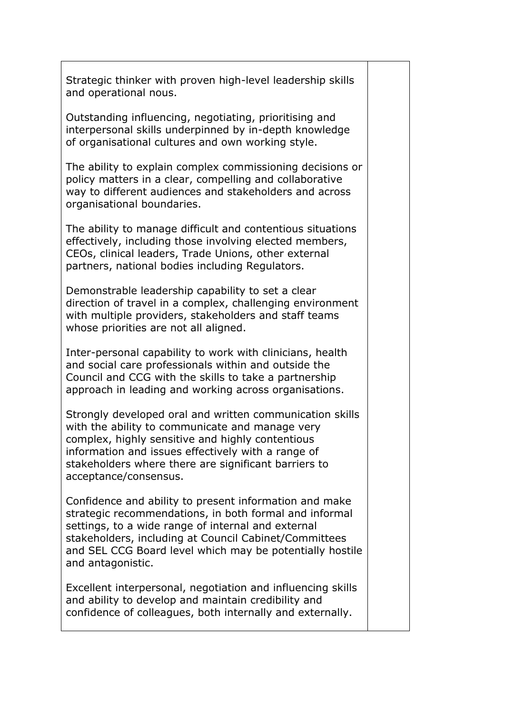Strategic thinker with proven high-level leadership skills and operational nous.

Outstanding influencing, negotiating, prioritising and interpersonal skills underpinned by in-depth knowledge of organisational cultures and own working style.

The ability to explain complex commissioning decisions or policy matters in a clear, compelling and collaborative way to different audiences and stakeholders and across organisational boundaries.

The ability to manage difficult and contentious situations effectively, including those involving elected members, CEOs, clinical leaders, Trade Unions, other external partners, national bodies including Regulators.

Demonstrable leadership capability to set a clear direction of travel in a complex, challenging environment with multiple providers, stakeholders and staff teams whose priorities are not all aligned.

Inter-personal capability to work with clinicians, health and social care professionals within and outside the Council and CCG with the skills to take a partnership approach in leading and working across organisations.

Strongly developed oral and written communication skills with the ability to communicate and manage very complex, highly sensitive and highly contentious information and issues effectively with a range of stakeholders where there are significant barriers to acceptance/consensus.

Confidence and ability to present information and make strategic recommendations, in both formal and informal settings, to a wide range of internal and external stakeholders, including at Council Cabinet/Committees and SEL CCG Board level which may be potentially hostile and antagonistic.

Excellent interpersonal, negotiation and influencing skills and ability to develop and maintain credibility and confidence of colleagues, both internally and externally.